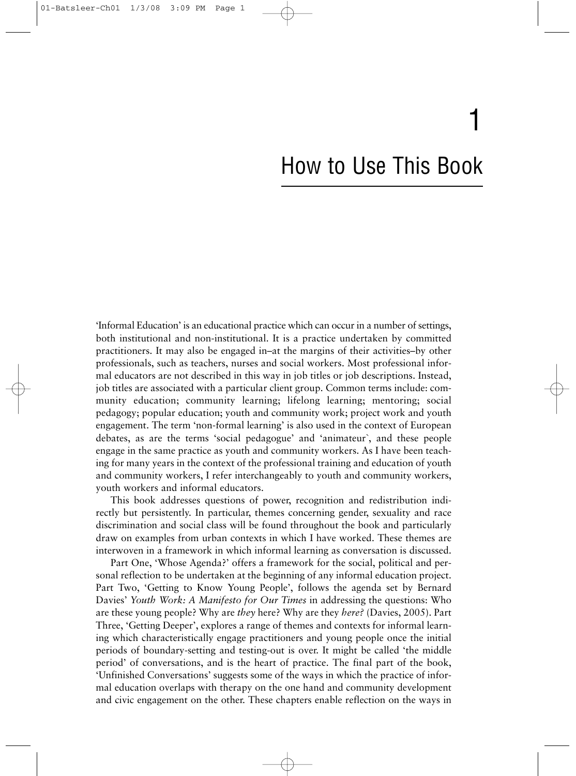# 1

# How to Use This Book

'Informal Education' is an educational practice which can occur in a number of settings, both institutional and non-institutional. It is a practice undertaken by committed practitioners. It may also be engaged in–at the margins of their activities–by other professionals, such as teachers, nurses and social workers. Most professional informal educators are not described in this way in job titles or job descriptions. Instead, job titles are associated with a particular client group. Common terms include: community education; community learning; lifelong learning; mentoring; social pedagogy; popular education; youth and community work; project work and youth engagement. The term 'non-formal learning' is also used in the context of European debates, as are the terms 'social pedagogue' and 'animateur`, and these people engage in the same practice as youth and community workers. As I have been teaching for many years in the context of the professional training and education of youth and community workers, I refer interchangeably to youth and community workers, youth workers and informal educators.

This book addresses questions of power, recognition and redistribution indirectly but persistently. In particular, themes concerning gender, sexuality and race discrimination and social class will be found throughout the book and particularly draw on examples from urban contexts in which I have worked. These themes are interwoven in a framework in which informal learning as conversation is discussed.

Part One, 'Whose Agenda?' offers a framework for the social, political and personal reflection to be undertaken at the beginning of any informal education project. Part Two, 'Getting to Know Young People', follows the agenda set by Bernard Davies' *Youth Work: A Manifesto for Our Times* in addressing the questions: Who are these young people? Why are *they* here? Why are they *here?* (Davies, 2005). Part Three, 'Getting Deeper', explores a range of themes and contexts for informal learning which characteristically engage practitioners and young people once the initial periods of boundary-setting and testing-out is over. It might be called 'the middle period' of conversations, and is the heart of practice. The final part of the book, 'Unfinished Conversations' suggests some of the ways in which the practice of informal education overlaps with therapy on the one hand and community development and civic engagement on the other. These chapters enable reflection on the ways in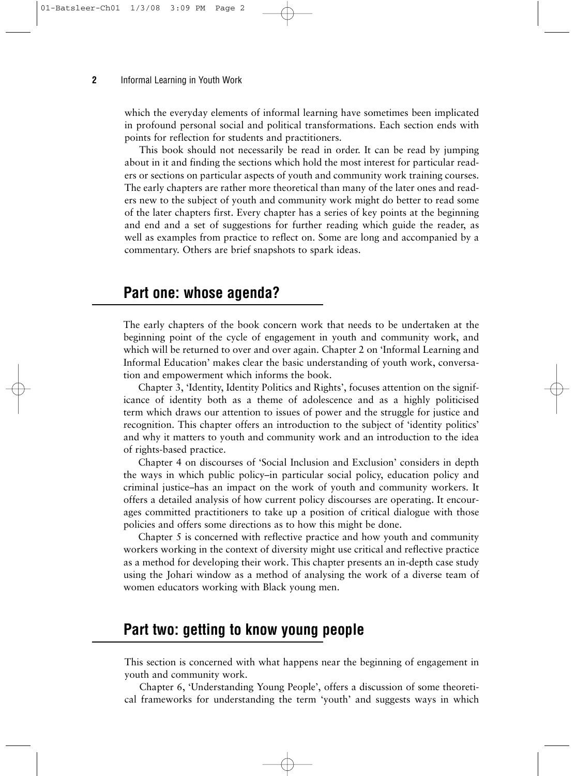#### **2** Informal Learning in Youth Work

which the everyday elements of informal learning have sometimes been implicated in profound personal social and political transformations. Each section ends with points for reflection for students and practitioners.

This book should not necessarily be read in order. It can be read by jumping about in it and finding the sections which hold the most interest for particular readers or sections on particular aspects of youth and community work training courses. The early chapters are rather more theoretical than many of the later ones and readers new to the subject of youth and community work might do better to read some of the later chapters first. Every chapter has a series of key points at the beginning and end and a set of suggestions for further reading which guide the reader, as well as examples from practice to reflect on. Some are long and accompanied by a commentary. Others are brief snapshots to spark ideas.

#### **Part one: whose agenda?**

The early chapters of the book concern work that needs to be undertaken at the beginning point of the cycle of engagement in youth and community work, and which will be returned to over and over again. Chapter 2 on 'Informal Learning and Informal Education' makes clear the basic understanding of youth work, conversation and empowerment which informs the book.

Chapter 3, 'Identity, Identity Politics and Rights', focuses attention on the significance of identity both as a theme of adolescence and as a highly politicised term which draws our attention to issues of power and the struggle for justice and recognition. This chapter offers an introduction to the subject of 'identity politics' and why it matters to youth and community work and an introduction to the idea of rights-based practice.

Chapter 4 on discourses of 'Social Inclusion and Exclusion' considers in depth the ways in which public policy–in particular social policy, education policy and criminal justice–has an impact on the work of youth and community workers. It offers a detailed analysis of how current policy discourses are operating. It encourages committed practitioners to take up a position of critical dialogue with those policies and offers some directions as to how this might be done.

Chapter 5 is concerned with reflective practice and how youth and community workers working in the context of diversity might use critical and reflective practice as a method for developing their work. This chapter presents an in-depth case study using the Johari window as a method of analysing the work of a diverse team of women educators working with Black young men.

#### **Part two: getting to know young people**

This section is concerned with what happens near the beginning of engagement in youth and community work.

Chapter 6, 'Understanding Young People', offers a discussion of some theoretical frameworks for understanding the term 'youth' and suggests ways in which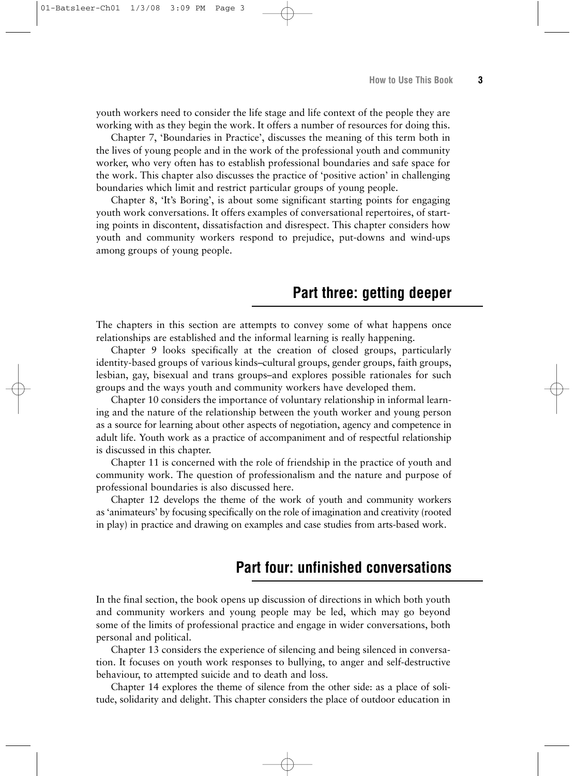youth workers need to consider the life stage and life context of the people they are working with as they begin the work. It offers a number of resources for doing this.

Chapter 7, 'Boundaries in Practice', discusses the meaning of this term both in the lives of young people and in the work of the professional youth and community worker, who very often has to establish professional boundaries and safe space for the work. This chapter also discusses the practice of 'positive action' in challenging boundaries which limit and restrict particular groups of young people.

Chapter 8, 'It's Boring', is about some significant starting points for engaging youth work conversations. It offers examples of conversational repertoires, of starting points in discontent, dissatisfaction and disrespect. This chapter considers how youth and community workers respond to prejudice, put-downs and wind-ups among groups of young people.

## **Part three: getting deeper**

The chapters in this section are attempts to convey some of what happens once relationships are established and the informal learning is really happening.

Chapter 9 looks specifically at the creation of closed groups, particularly identity-based groups of various kinds–cultural groups, gender groups, faith groups, lesbian, gay, bisexual and trans groups–and explores possible rationales for such groups and the ways youth and community workers have developed them.

Chapter 10 considers the importance of voluntary relationship in informal learning and the nature of the relationship between the youth worker and young person as a source for learning about other aspects of negotiation, agency and competence in adult life. Youth work as a practice of accompaniment and of respectful relationship is discussed in this chapter.

Chapter 11 is concerned with the role of friendship in the practice of youth and community work. The question of professionalism and the nature and purpose of professional boundaries is also discussed here.

Chapter 12 develops the theme of the work of youth and community workers as 'animateurs' by focusing specifically on the role of imagination and creativity (rooted in play) in practice and drawing on examples and case studies from arts-based work.

### **Part four: unfinished conversations**

In the final section, the book opens up discussion of directions in which both youth and community workers and young people may be led, which may go beyond some of the limits of professional practice and engage in wider conversations, both personal and political.

Chapter 13 considers the experience of silencing and being silenced in conversation. It focuses on youth work responses to bullying, to anger and self-destructive behaviour, to attempted suicide and to death and loss.

Chapter 14 explores the theme of silence from the other side: as a place of solitude, solidarity and delight. This chapter considers the place of outdoor education in